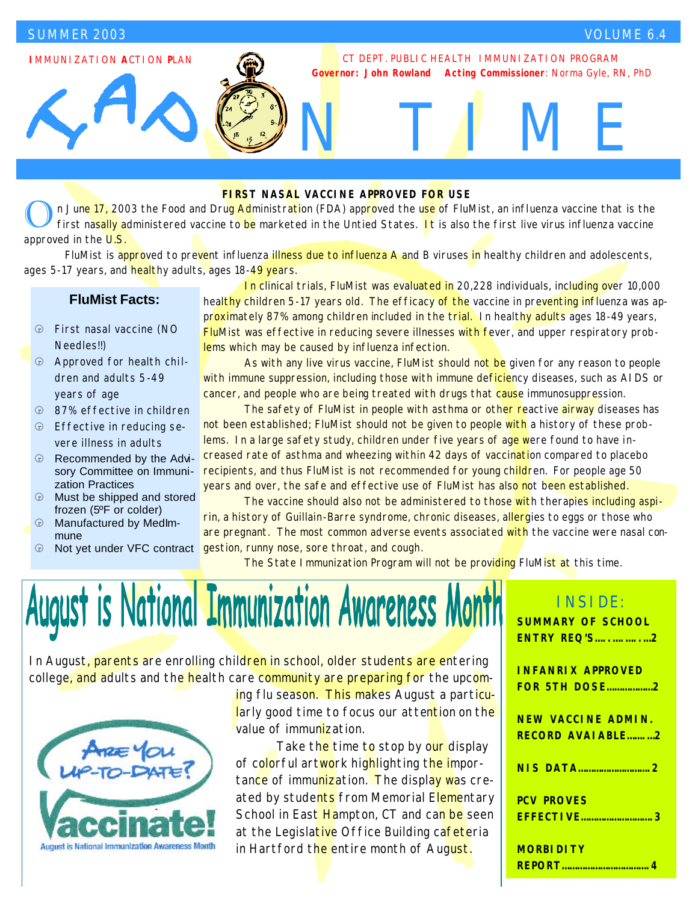**I**MMUNIZATION **A**CTION **P**LAN

#### CT DEPT. PUBLIC HEALTH IMMUNIZATION PROGRAM *Governor: John Rowland Acting Commissioner: Norma Gyle, RN, PhD*

N TIME

#### **FIRST NASAL VACCINE APPROVED FOR USE**

The College of FluMist, an influenza vaccine that is the first and produced the use of FluMist, an influenza vaccine that is the first nasally administered vaccine to be marketed in the Untied States. It is also the first approved in the U.S.

FluMist is approved to prevent influenza illness due to influenza A and B viruses in healthy children and adolescents, ages 5-17 years, and healthy adults, ages 18-49 years.

#### **FluMist Facts:**

- â First nasal vaccine (NO Needles!!)
- â Approved for health children and adults 5-49 years of age
- **a** 87% effective in children
- $\oplus$  Effective in reducing severe illness in adults
- $\oplus$  Recommended by the Advisory Committee on Immunization Practices
- Must be shipped and stored frozen (5ºF or colder)
- $\oplus$  Manufactured by MedImmune
- *a* Not yet under VFC contract

 In clinical trials, FluMist was evaluated in 20,228 individuals, including over 10,000 healthy children 5-17 years old. The efficacy of the vaccine in preventing influenza was approximately 87% among children included in the trial. In healthy adults ages 18-49 years, FluMist was effective in reducing severe illnesses with fever, and upper respiratory problems which may be caused by influenza infection.

As with any live virus vaccine, FluMist should not be given for any reason to people with immune suppression, including those with immune deficiency diseases, such as AIDS or cancer, and people who are being treated with drugs that cause immunosuppression.

The safety of FluMist in people with asthma or other reactive airway diseases has not been established; FluMist should not be given to people with a history of these problems. In a large safety study, children under five years of age were found to have increased rate of asthma and wheezing within 42 days of vaccination compared to placebo recipients, and thus FluMist is not recommended for young children. For people age 50 years and over, the safe and effective use of FluMist has also not been established.

 The vaccine should also not be administered to those with therapies including aspirin, a history of Guillain-Barre syndrome, chronic diseases, allergies to eggs or those who are pregnant. The most common adverse events associated with the vaccine were nasal congestion, runny nose, sore throat, and cough.

The State Immunization Program will not be providing FluMist at this time.

# August is National Immunization Awareness Month

In August, parents are enrolling children in school, older students are entering college, and adults and the health care community are preparing for the upcom-



ing flu season. This makes August a particularly good time to focus our attention on the value of immunization.

Take the time to stop by our display of colorful artwork highlighting the importance of immunization. The display was created by students from Memorial Elementary School in East Hampton, CT and can be seen at the Legislative Office Building cafeteria in Hartford the entire month of August.

| <b>INSIDE:</b>            |
|---------------------------|
| <b>SUMMARY OF SCHOOL</b>  |
| <b>ENTRY REQ'S2</b>       |
|                           |
| <b>INFANRIX APPROVED</b>  |
| <b>FOR 5TH DOSE2</b>      |
|                           |
| <b>NEW VACCINE ADMIN.</b> |
| <b>RECORD AVAIABLE2</b>   |
| <b>NIS DATA2</b>          |
|                           |
| <b>PCV PROVES</b>         |
| <b>EFFECTIVE3</b>         |
|                           |
| <b>MORBIDITY</b>          |
|                           |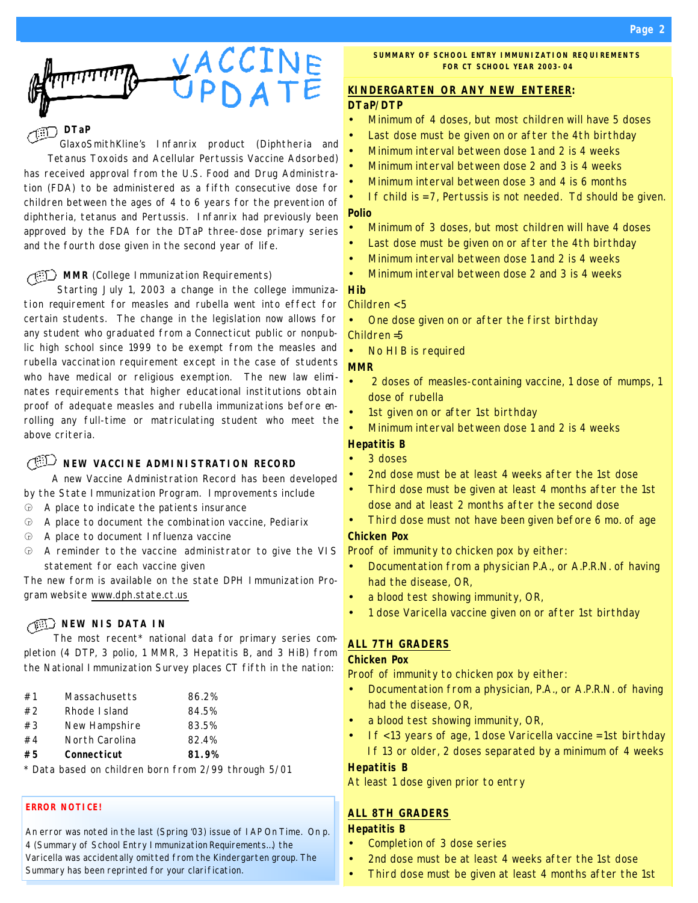

#### **DTaP**

GlaxoSmithKline's Infanrix product (Diphtheria and Tetanus Toxoids and Acellular Pertussis Vaccine Adsorbed) has received approval from the U.S. Food and Drug Administration (FDA) to be administered as a fifth consecutive dose for children between the ages of 4 to 6 years for the prevention of diphtheria, tetanus and Pertussis. Infanrix had previously been approved by the FDA for the DTaP three-dose primary series and the fourth dose given in the second year of life.

#### **MMR** (College Immunization Requirements)

Starting July 1, 2003 a change in the college immunization requirement for measles and rubella went into effect for certain students. The change in the legislation now allows for any student who graduated from a Connecticut public or nonpublic high school since 1999 to be exempt from the measles and rubella vaccination requirement except in the case of students who have medical or religious exemption. The new law eliminates requirements that higher educational institutions obtain proof of adequate measles and rubella immunizations before enrolling any full-time or matriculating student who meet the above criteria.

### **NEW VACCINE ADMINISTRATION RECORD**

A new Vaccine Administration Record has been developed by the State Immunization Program. Improvements include

- $$\oplus$$  A place to indicate the patients insurance
- $\Theta$  A place to document the combination vaccine, Pediarix
- $\oplus$  A place to document Influenza vaccine
- â A reminder to the vaccine administrator to give the VIS statement for each vaccine given

The new form is available on the state DPH Immunization Program website www.dph.state.ct.us

#### **NEW NIS DATA IN**

The most recent\* national data for primary series completion (4 DTP, 3 polio, 1 MMR, 3 Hepatitis B, and 3 HiB) from the National Immunization Survey places CT fifth in the nation:

| #1 | Massachusetts  | 86.2% |
|----|----------------|-------|
| #2 | Rhode I sland  | 84.5% |
| #3 | New Hampshire  | 83.5% |
| #4 | North Carolina | 82.4% |
| #5 | Connecticut    | 81.9% |
|    |                |       |

*\* Data based on children born from 2/99 through 5/01*

#### **ERROR NOTICE!**

An error was noted in the last (Spring '03) issue of IAP On Time. On p. 4 (Summary of School Entry Immunization Requirements…) the Varicella was accidentally omitted from the Kindergarten group. The Summary has been reprinted for your clarification.

#### **KINDERGARTEN OR ANY NEW ENTERER: DTaP/DTP**

- Minimum of 4 doses, but most children will have 5 doses
- Last dose must be given on or after the 4th birthday
- Minimum interval between dose 1 and 2 is 4 weeks
- Minimum interval between dose 2 and 3 is 4 weeks
- Minimum interval between dose 3 and 4 is 6 months
- If child is = 7, Pertussis is not needed. Td should be given. **Polio**
- Minimum of 3 doses, but most children will have 4 doses
- Last dose must be given on or after the 4th birthday
- Minimum interval between dose 1 and 2 is 4 weeks
- Minimum interval between dose 2 and 3 is 4 weeks

#### **Hib**

#### *Children < 5*

- One dose given on or after the first birthday
- *Children =5* No HIB is required

### **MMR**

- 2 doses of measles-containing vaccine, 1 dose of mumps, 1 dose of rubella
- 1st given on or after 1st birthday
- Minimum interval between dose 1 and 2 is 4 weeks

#### **Hepatitis B**

- 3 doses
- 2nd dose must be at least 4 weeks after the 1st dose
- Third dose must be given at least 4 months after the 1st dose and at least 2 months after the second dose
- Third dose must not have been given before 6 mo. of age **Chicken Pox**

#### Proof of immunity to chicken pox by either:

- Documentation from a physician P.A., or A.P.R.N. of having had the disease, OR,
- a blood test showing immunity, OR,
- 1 dose Varicella vaccine given on or after 1st birthday

#### **ALL 7TH GRADERS**

#### **Chicken Pox**

Proof of immunity to chicken pox by either:

- Documentation from a physician, P.A., or A.P.R.N. of having had the disease, OR,
- a blood test showing immunity, OR,
- If < 13 years of age, 1 dose Varicella vaccine = 1st birthday If 13 or older, 2 doses separated by a minimum of 4 weeks

#### **Hepatitis B**

At least 1 dose given prior to entry

#### **ALL 8TH GRADERS**

#### **Hepatitis B**

- Completion of 3 dose series
- 2nd dose must be at least 4 weeks after the 1st dose
- Third dose must be given at least 4 months after the 1st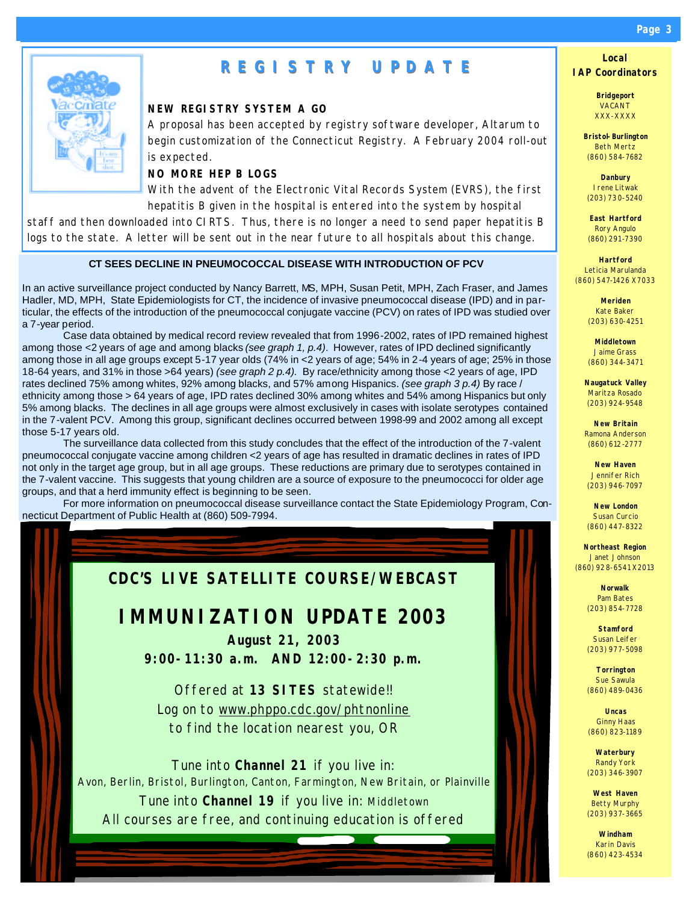## **REGISTRY UPDATE**

#### **NEW REGISTRY SYSTEM A GO**

A proposal has been accepted by registry software developer, Altarum to begin customization of the Connecticut Registry. A February 2004 roll-out is expected.

#### **NO MORE HEP B LOGS**

With the advent of the Electronic Vital Records System (EVRS), the first hepatitis B given in the hospital is entered into the system by hospital

staff and then downloaded into CIRTS. Thus, there is no longer a need to send paper hepatitis B logs to the state. A letter will be sent out in the near future to all hospitals about this change.

#### **CT SEES DECLINE IN PNEUMOCOCCAL DISEASE WITH INTRODUCTION OF PCV**

In an active surveillance project conducted by Nancy Barrett, MS, MPH, Susan Petit, MPH, Zach Fraser, and James Hadler, MD, MPH, State Epidemiologists for CT, the incidence of invasive pneumococcal disease (IPD) and in particular, the effects of the introduction of the pneumococcal conjugate vaccine (PCV) on rates of IPD was studied over a 7-year period.

 Case data obtained by medical record review revealed that from 1996-2002, rates of IPD remained highest among those <2 years of age and among blacks *(see graph 1, p.4)*. However, rates of IPD declined significantly among those in all age groups except 5-17 year olds (74% in <2 years of age; 54% in 2-4 years of age; 25% in those 18-64 years, and 31% in those >64 years) *(see graph 2 p.4).* By race/ethnicity among those <2 years of age, IPD rates declined 75% among whites, 92% among blacks, and 57% among Hispanics. *(see graph 3 p.4)* By race / ethnicity among those > 64 years of age, IPD rates declined 30% among whites and 54% among Hispanics but only 5% among blacks. The declines in all age groups were almost exclusively in cases with isolate serotypes contained in the 7-valent PCV. Among this group, significant declines occurred between 1998-99 and 2002 among all except those 5-17 years old.

 The surveillance data collected from this study concludes that the effect of the introduction of the 7-valent pneumococcal conjugate vaccine among children <2 years of age has resulted in dramatic declines in rates of IPD not only in the target age group, but in all age groups. These reductions are primary due to serotypes contained in the 7-valent vaccine. This suggests that young children are a source of exposure to the pneumococci for older age groups, and that a herd immunity effect is beginning to be seen.

 For more information on pneumococcal disease surveillance contact the State Epidemiology Program, Connecticut Department of Public Health at (860) 509-7994.



#### *Page 3*

**Local IAP Coordinators**

> **Bridgeport** VACANT XXX-XXXX

**Bristol-Burlington** Beth Mertz (860) 584-7682

**Danbury** Irene Litwak (203) 730-5240

**East Hartford** Rory Angulo (860) 291-7390

**Hartford** Leticia Marulanda (860) 547-1426 X7033

> **Meriden** Kate Baker (203) 630-4251

**Middletown** Jaime Grass (860) 344-3471

**Naugatuck Valley** Maritza Rosado (203) 924-9548

**New Britain** Ramona Anderson (860) 612-2777

**New Haven** Jennifer Rich (203) 946-7097

**New London** Susan Curcio (860) 447-8322

**Northeast Region** Janet Johnson (860) 928-6541 X2013

> **Norwalk** Pam Bates (203) 854-7728

> **Stamford** Susan Leifer (203) 977-5098

**Torrington** Sue Sawula (860) 489-0436

**Uncas** Ginny Haas (860) 823-1189

**Waterbury** Randy York (203) 346-3907

**West Haven** Betty Murphy (203) 937-3665

**Windham** Karin Davis (860) 423-4534